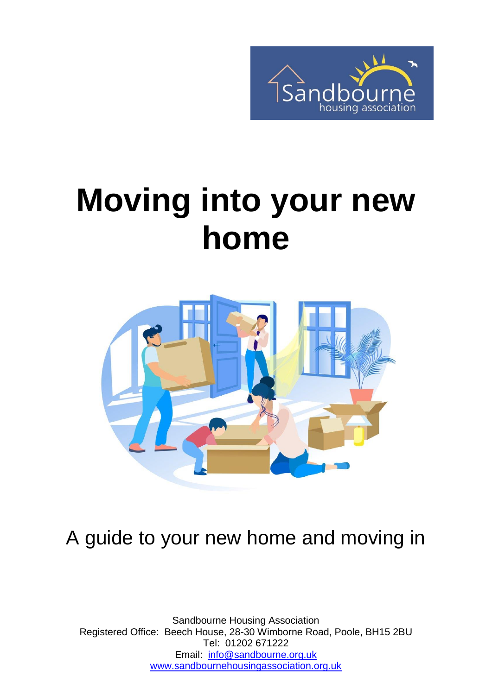

# **Moving into your new home**



## A guide to your new home and moving in

Sandbourne Housing Association Registered Office: Beech House, 28-30 Wimborne Road, Poole, BH15 2BU Tel: 01202 671222 Email: [info@sandbourne.org.uk](mailto:info@sandbourne.org.uk) [www.sandbournehousingassociation.org.uk](http://www.sandbournehousingassociation.org.uk/)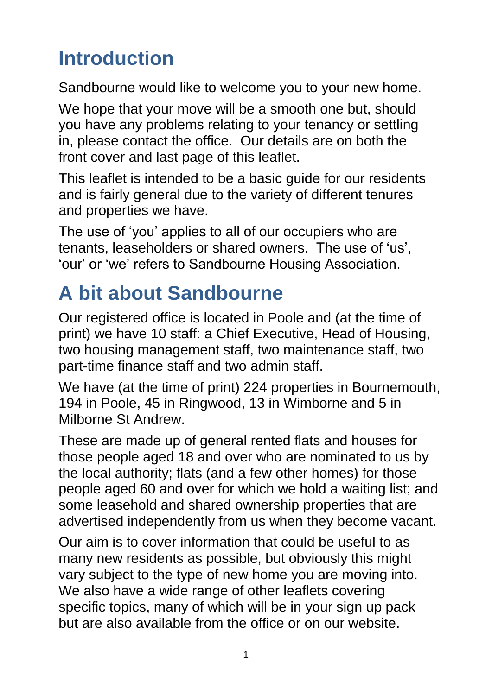# **Introduction**

Sandbourne would like to welcome you to your new home.

We hope that your move will be a smooth one but, should you have any problems relating to your tenancy or settling in, please contact the office. Our details are on both the front cover and last page of this leaflet.

This leaflet is intended to be a basic guide for our residents and is fairly general due to the variety of different tenures and properties we have.

The use of 'you' applies to all of our occupiers who are tenants, leaseholders or shared owners. The use of 'us', 'our' or 'we' refers to Sandbourne Housing Association.

# **A bit about Sandbourne**

Our registered office is located in Poole and (at the time of print) we have 10 staff: a Chief Executive, Head of Housing, two housing management staff, two maintenance staff, two part-time finance staff and two admin staff.

We have (at the time of print) 224 properties in Bournemouth, 194 in Poole, 45 in Ringwood, 13 in Wimborne and 5 in Milborne St Andrew.

These are made up of general rented flats and houses for those people aged 18 and over who are nominated to us by the local authority; flats (and a few other homes) for those people aged 60 and over for which we hold a waiting list; and some leasehold and shared ownership properties that are advertised independently from us when they become vacant.

Our aim is to cover information that could be useful to as many new residents as possible, but obviously this might vary subject to the type of new home you are moving into. We also have a wide range of other leaflets covering specific topics, many of which will be in your sign up pack but are also available from the office or on our website.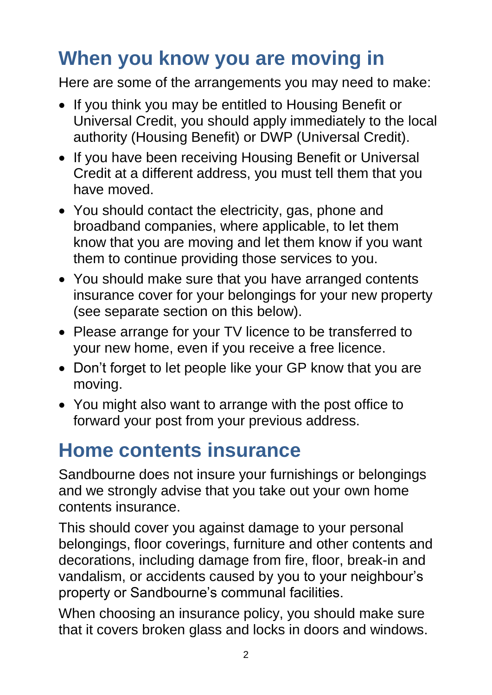# **When you know you are moving in**

Here are some of the arrangements you may need to make:

- If you think you may be entitled to Housing Benefit or Universal Credit, you should apply immediately to the local authority (Housing Benefit) or DWP (Universal Credit).
- If you have been receiving Housing Benefit or Universal Credit at a different address, you must tell them that you have moved.
- You should contact the electricity, gas, phone and broadband companies, where applicable, to let them know that you are moving and let them know if you want them to continue providing those services to you.
- You should make sure that you have arranged contents insurance cover for your belongings for your new property (see separate section on this below).
- Please arrange for your TV licence to be transferred to your new home, even if you receive a free licence.
- Don't forget to let people like your GP know that you are moving.
- You might also want to arrange with the post office to forward your post from your previous address.

## **Home contents insurance**

Sandbourne does not insure your furnishings or belongings and we strongly advise that you take out your own home contents insurance.

This should cover you against damage to your personal belongings, floor coverings, furniture and other contents and decorations, including damage from fire, floor, break-in and vandalism, or accidents caused by you to your neighbour's property or Sandbourne's communal facilities.

When choosing an insurance policy, you should make sure that it covers broken glass and locks in doors and windows.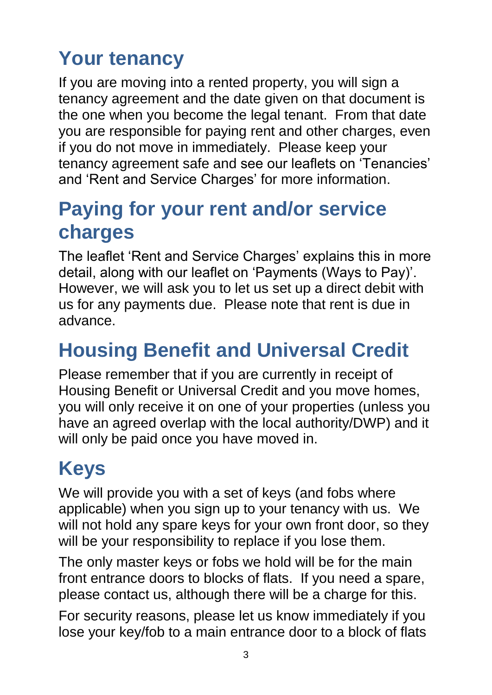# **Your tenancy**

If you are moving into a rented property, you will sign a tenancy agreement and the date given on that document is the one when you become the legal tenant. From that date you are responsible for paying rent and other charges, even if you do not move in immediately. Please keep your tenancy agreement safe and see our leaflets on 'Tenancies' and 'Rent and Service Charges' for more information.

#### **Paying for your rent and/or service charges**

The leaflet 'Rent and Service Charges' explains this in more detail, along with our leaflet on 'Payments (Ways to Pay)'. However, we will ask you to let us set up a direct debit with us for any payments due. Please note that rent is due in advance.

## **Housing Benefit and Universal Credit**

Please remember that if you are currently in receipt of Housing Benefit or Universal Credit and you move homes, you will only receive it on one of your properties (unless you have an agreed overlap with the local authority/DWP) and it will only be paid once you have moved in.

# **Keys**

We will provide you with a set of keys (and fobs where applicable) when you sign up to your tenancy with us. We will not hold any spare keys for your own front door, so they will be your responsibility to replace if you lose them.

The only master keys or fobs we hold will be for the main front entrance doors to blocks of flats. If you need a spare, please contact us, although there will be a charge for this.

For security reasons, please let us know immediately if you lose your key/fob to a main entrance door to a block of flats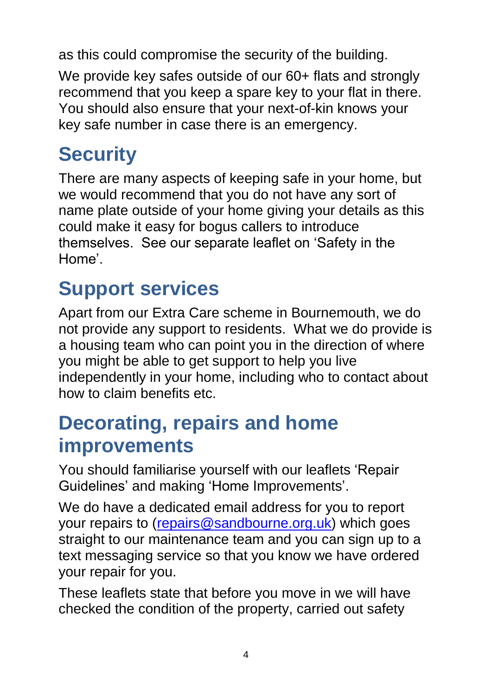as this could compromise the security of the building.

We provide key safes outside of our 60+ flats and strongly recommend that you keep a spare key to your flat in there. You should also ensure that your next-of-kin knows your key safe number in case there is an emergency.

# **Security**

There are many aspects of keeping safe in your home, but we would recommend that you do not have any sort of name plate outside of your home giving your details as this could make it easy for bogus callers to introduce themselves. See our separate leaflet on 'Safety in the Home'.

## **Support services**

Apart from our Extra Care scheme in Bournemouth, we do not provide any support to residents. What we do provide is a housing team who can point you in the direction of where you might be able to get support to help you live independently in your home, including who to contact about how to claim benefits etc.

#### **Decorating, repairs and home improvements**

You should familiarise yourself with our leaflets 'Repair Guidelines' and making 'Home Improvements'.

We do have a dedicated email address for you to report your repairs to [\(repairs@sandbourne.org.uk\)](mailto:repairs@sandbourne.org.uk) which goes straight to our maintenance team and you can sign up to a text messaging service so that you know we have ordered your repair for you.

These leaflets state that before you move in we will have checked the condition of the property, carried out safety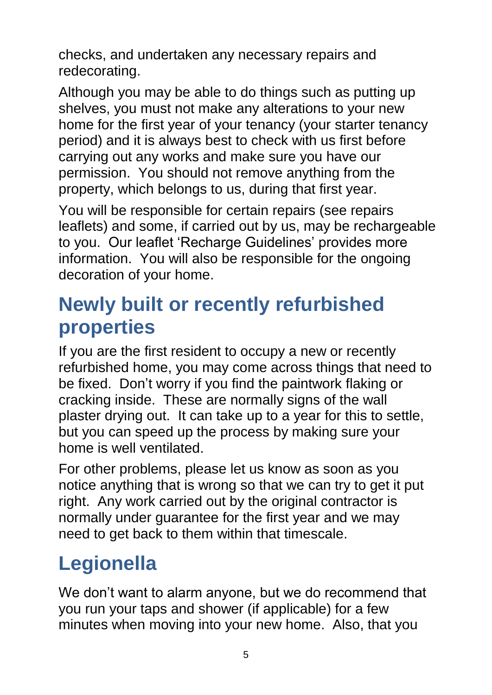checks, and undertaken any necessary repairs and redecorating.

Although you may be able to do things such as putting up shelves, you must not make any alterations to your new home for the first year of your tenancy (your starter tenancy period) and it is always best to check with us first before carrying out any works and make sure you have our permission. You should not remove anything from the property, which belongs to us, during that first year.

You will be responsible for certain repairs (see repairs leaflets) and some, if carried out by us, may be rechargeable to you. Our leaflet 'Recharge Guidelines' provides more information. You will also be responsible for the ongoing decoration of your home.

#### **Newly built or recently refurbished properties**

If you are the first resident to occupy a new or recently refurbished home, you may come across things that need to be fixed. Don't worry if you find the paintwork flaking or cracking inside. These are normally signs of the wall plaster drying out. It can take up to a year for this to settle, but you can speed up the process by making sure your home is well ventilated.

For other problems, please let us know as soon as you notice anything that is wrong so that we can try to get it put right. Any work carried out by the original contractor is normally under guarantee for the first year and we may need to get back to them within that timescale.

# **Legionella**

We don't want to alarm anyone, but we do recommend that you run your taps and shower (if applicable) for a few minutes when moving into your new home. Also, that you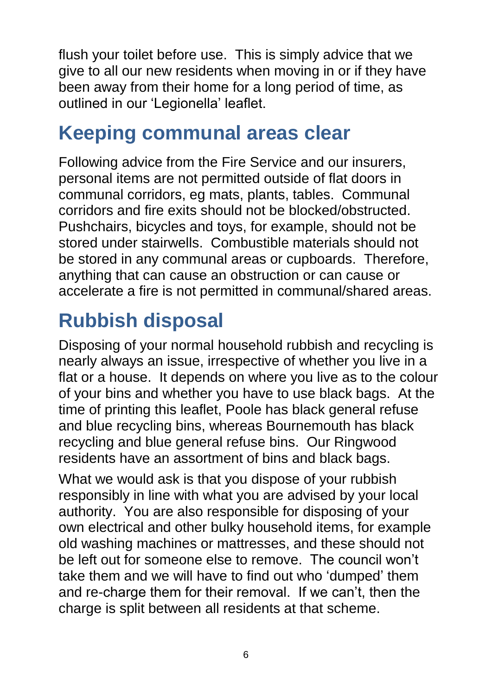flush your toilet before use. This is simply advice that we give to all our new residents when moving in or if they have been away from their home for a long period of time, as outlined in our 'Legionella' leaflet.

#### **Keeping communal areas clear**

Following advice from the Fire Service and our insurers, personal items are not permitted outside of flat doors in communal corridors, eg mats, plants, tables. Communal corridors and fire exits should not be blocked/obstructed. Pushchairs, bicycles and toys, for example, should not be stored under stairwells. Combustible materials should not be stored in any communal areas or cupboards. Therefore, anything that can cause an obstruction or can cause or accelerate a fire is not permitted in communal/shared areas.

# **Rubbish disposal**

Disposing of your normal household rubbish and recycling is nearly always an issue, irrespective of whether you live in a flat or a house. It depends on where you live as to the colour of your bins and whether you have to use black bags. At the time of printing this leaflet, Poole has black general refuse and blue recycling bins, whereas Bournemouth has black recycling and blue general refuse bins. Our Ringwood residents have an assortment of bins and black bags.

What we would ask is that you dispose of your rubbish responsibly in line with what you are advised by your local authority. You are also responsible for disposing of your own electrical and other bulky household items, for example old washing machines or mattresses, and these should not be left out for someone else to remove. The council won't take them and we will have to find out who 'dumped' them and re-charge them for their removal. If we can't, then the charge is split between all residents at that scheme.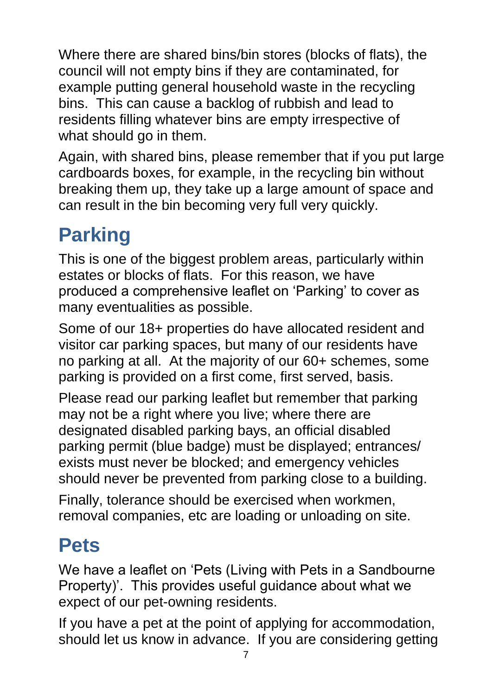Where there are shared bins/bin stores (blocks of flats), the council will not empty bins if they are contaminated, for example putting general household waste in the recycling bins. This can cause a backlog of rubbish and lead to residents filling whatever bins are empty irrespective of what should go in them.

Again, with shared bins, please remember that if you put large cardboards boxes, for example, in the recycling bin without breaking them up, they take up a large amount of space and can result in the bin becoming very full very quickly.

# **Parking**

This is one of the biggest problem areas, particularly within estates or blocks of flats. For this reason, we have produced a comprehensive leaflet on 'Parking' to cover as many eventualities as possible.

Some of our 18+ properties do have allocated resident and visitor car parking spaces, but many of our residents have no parking at all. At the majority of our 60+ schemes, some parking is provided on a first come, first served, basis.

Please read our parking leaflet but remember that parking may not be a right where you live; where there are designated disabled parking bays, an official disabled parking permit (blue badge) must be displayed; entrances/ exists must never be blocked; and emergency vehicles should never be prevented from parking close to a building.

Finally, tolerance should be exercised when workmen, removal companies, etc are loading or unloading on site.

## **Pets**

We have a leaflet on 'Pets (Living with Pets in a Sandbourne Property)'. This provides useful guidance about what we expect of our pet-owning residents.

If you have a pet at the point of applying for accommodation, should let us know in advance. If you are considering getting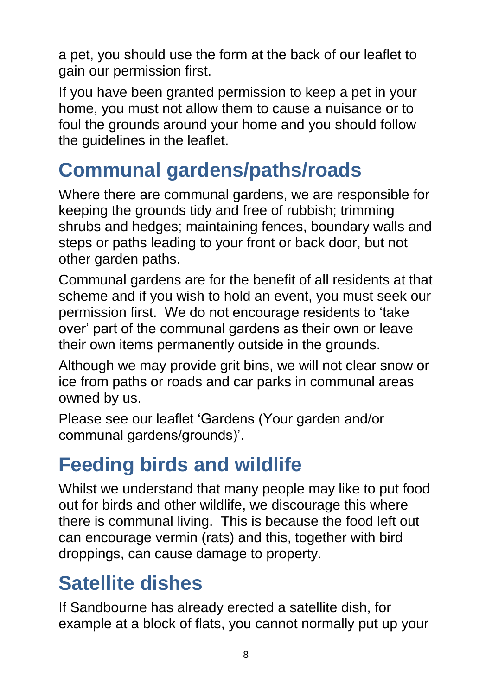a pet, you should use the form at the back of our leaflet to gain our permission first.

If you have been granted permission to keep a pet in your home, you must not allow them to cause a nuisance or to foul the grounds around your home and you should follow the guidelines in the leaflet.

## **Communal gardens/paths/roads**

Where there are communal gardens, we are responsible for keeping the grounds tidy and free of rubbish; trimming shrubs and hedges; maintaining fences, boundary walls and steps or paths leading to your front or back door, but not other garden paths.

Communal gardens are for the benefit of all residents at that scheme and if you wish to hold an event, you must seek our permission first. We do not encourage residents to 'take over' part of the communal gardens as their own or leave their own items permanently outside in the grounds.

Although we may provide grit bins, we will not clear snow or ice from paths or roads and car parks in communal areas owned by us.

Please see our leaflet 'Gardens (Your garden and/or communal gardens/grounds)'.

## **Feeding birds and wildlife**

Whilst we understand that many people may like to put food out for birds and other wildlife, we discourage this where there is communal living. This is because the food left out can encourage vermin (rats) and this, together with bird droppings, can cause damage to property.

## **Satellite dishes**

If Sandbourne has already erected a satellite dish, for example at a block of flats, you cannot normally put up your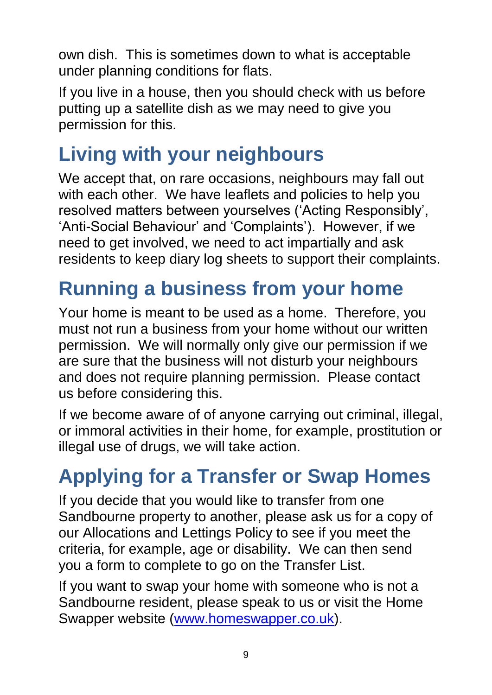own dish. This is sometimes down to what is acceptable under planning conditions for flats.

If you live in a house, then you should check with us before putting up a satellite dish as we may need to give you permission for this.

## **Living with your neighbours**

We accept that, on rare occasions, neighbours may fall out with each other. We have leaflets and policies to help you resolved matters between yourselves ('Acting Responsibly', 'Anti-Social Behaviour' and 'Complaints'). However, if we need to get involved, we need to act impartially and ask residents to keep diary log sheets to support their complaints.

# **Running a business from your home**

Your home is meant to be used as a home. Therefore, you must not run a business from your home without our written permission. We will normally only give our permission if we are sure that the business will not disturb your neighbours and does not require planning permission. Please contact us before considering this.

If we become aware of of anyone carrying out criminal, illegal, or immoral activities in their home, for example, prostitution or illegal use of drugs, we will take action.

# **Applying for a Transfer or Swap Homes**

If you decide that you would like to transfer from one Sandbourne property to another, please ask us for a copy of our Allocations and Lettings Policy to see if you meet the criteria, for example, age or disability. We can then send you a form to complete to go on the Transfer List.

If you want to swap your home with someone who is not a Sandbourne resident, please speak to us or visit the Home Swapper website [\(www.homeswapper.co.uk\)](http://www.homeswapper.co.uk/).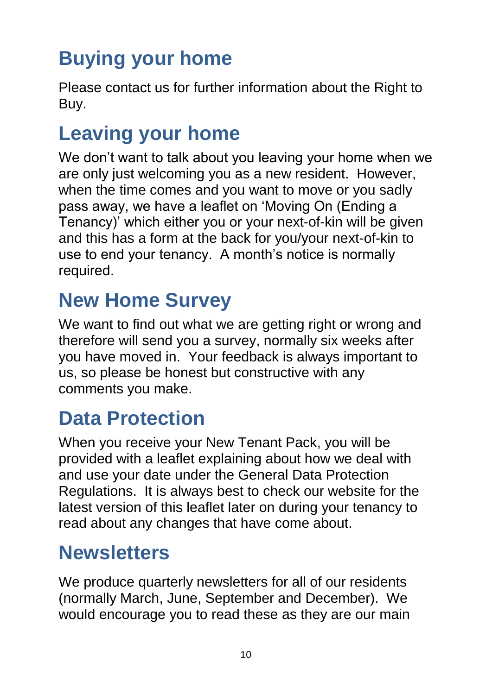# **Buying your home**

Please contact us for further information about the Right to Buy.

## **Leaving your home**

We don't want to talk about you leaving your home when we are only just welcoming you as a new resident. However, when the time comes and you want to move or you sadly pass away, we have a leaflet on 'Moving On (Ending a Tenancy)' which either you or your next-of-kin will be given and this has a form at the back for you/your next-of-kin to use to end your tenancy. A month's notice is normally required.

#### **New Home Survey**

We want to find out what we are getting right or wrong and therefore will send you a survey, normally six weeks after you have moved in. Your feedback is always important to us, so please be honest but constructive with any comments you make.

## **Data Protection**

When you receive your New Tenant Pack, you will be provided with a leaflet explaining about how we deal with and use your date under the General Data Protection Regulations. It is always best to check our website for the latest version of this leaflet later on during your tenancy to read about any changes that have come about.

#### **Newsletters**

We produce quarterly newsletters for all of our residents (normally March, June, September and December). We would encourage you to read these as they are our main